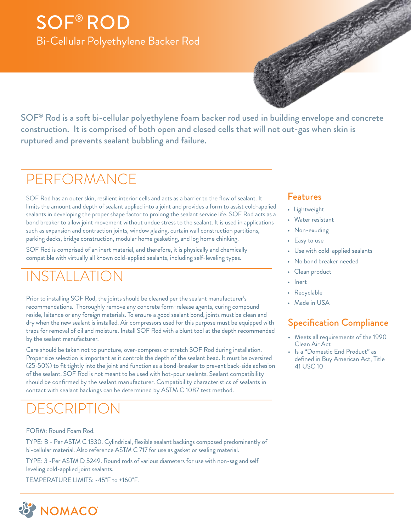## SOF® ROD Bi-Cellular Polyethylene Backer Rod



SOF® Rod is a soft bi-cellular polyethylene foam backer rod used in building envelope and concrete construction. It is comprised of both open and closed cells that will not out-gas when skin is ruptured and prevents sealant bubbling and failure.

## PERFORMANCE

SOF Rod has an outer skin, resilient interior cells and acts as a barrier to the flow of sealant. It limits the amount and depth of sealant applied into a joint and provides a form to assist cold-applied sealants in developing the proper shape factor to prolong the sealant service life. SOF Rod acts as a bond breaker to allow joint movement without undue stress to the sealant. It is used in applications such as expansion and contraction joints, window glazing, curtain wall construction partitions, parking decks, bridge construction, modular home gasketing, and log home chinking.

SOF Rod is comprised of an inert material, and therefore, it is physically and chemically compatible with virtually all known cold-applied sealants, including self-leveling types.

## JSTALI ATI(

Prior to installing SOF Rod, the joints should be cleaned per the sealant manufacturer's recommendations. Thoroughly remove any concrete form-release agents, curing compound reside, laitance or any foreign materials. To ensure a good sealant bond, joints must be clean and dry when the new sealant is installed. Air compressors used for this purpose must be equipped with traps for removal of oil and moisture. Install SOF Rod with a blunt tool at the depth recommended by the sealant manufacturer.

Care should be taken not to puncture, over-compress or stretch SOF Rod during installation. Proper size selection is important as it controls the depth of the sealant bead. It must be oversized (25-50%) to fit tightly into the joint and function as a bond-breaker to prevent back-side adhesion of the sealant. SOF Rod is not meant to be used with hot-pour sealants. Sealant compatibility should be confirmed by the sealant manufacturer. Compatibility characteristics of sealants in contact with sealant backings can be determined by ASTM C 1087 test method.

## **DESCRIPTION**

#### FORM: Round Foam Rod.

TYPE: B - Per ASTM C 1330. Cylindrical, flexible sealant backings composed predominantly of bi-cellular material. Also reference ASTM C 717 for use as gasket or sealing material.

TYPE: 3 -Per ASTM D 5249. Round rods of various diameters for use with non-sag and self leveling cold-applied joint sealants.

TEMPERATURE LIMITS: -45˚F to +160˚F.

#### Features

- Lightweight
- Water resistant
- Non-exuding
- Easy to use
- Use with cold-applied sealants
- No bond breaker needed
- Clean product
- Inert
- Recyclable
- Made in USA

### Specification Compliance

- Meets all requirements of the 1990 Clean Air Act
- Is a "Domestic End Product" as defined in Buy American Act, Title 41 USC 10